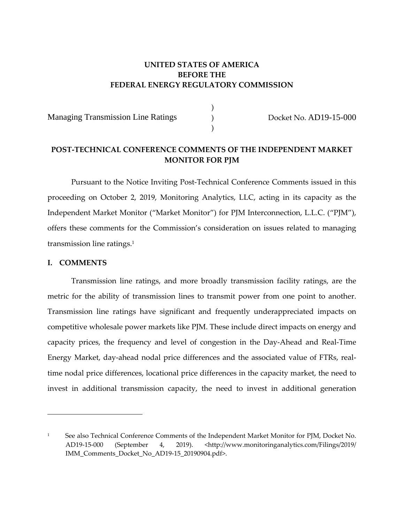## **UNITED STATES OF AMERICA BEFORE THE FEDERAL ENERGY REGULATORY COMMISSION**

) ) )

Managing Transmission Line Ratings

Docket No. AD19-15-000

## **POST‐TECHNICAL CONFERENCE COMMENTS OF THE INDEPENDENT MARKET MONITOR FOR PJM**

Pursuant to the Notice Inviting Post‐Technical Conference Comments issued in this proceeding on October 2, 2019, Monitoring Analytics, LLC, acting in its capacity as the Independent Market Monitor ("Market Monitor") for PJM Interconnection, L.L.C. ("PJM"), offers these comments for the Commission's consideration on issues related to managing transmission line ratings.1

## **I. COMMENTS**

<u> 1989 - Johann Stein, marwolaethau a bhann an t-Amhair Aonaichte an t-Amhair Aonaichte an t-Amhair Aonaichte a</u>

Transmission line ratings, and more broadly transmission facility ratings, are the metric for the ability of transmission lines to transmit power from one point to another. Transmission line ratings have significant and frequently underappreciated impacts on competitive wholesale power markets like PJM. These include direct impacts on energy and capacity prices, the frequency and level of congestion in the Day‐Ahead and Real‐Time Energy Market, day‐ahead nodal price differences and the associated value of FTRs, real‐ time nodal price differences, locational price differences in the capacity market, the need to invest in additional transmission capacity, the need to invest in additional generation

<sup>1</sup> See also Technical Conference Comments of the Independent Market Monitor for PJM, Docket No. AD19‐15‐000 (September 4, 2019). <http://www.monitoringanalytics.com/Filings/2019/ IMM\_Comments\_Docket\_No\_AD19‐15\_20190904.pdf>.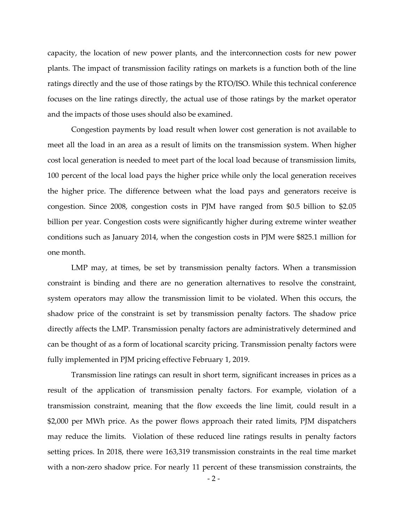capacity, the location of new power plants, and the interconnection costs for new power plants. The impact of transmission facility ratings on markets is a function both of the line ratings directly and the use of those ratings by the RTO/ISO. While this technical conference focuses on the line ratings directly, the actual use of those ratings by the market operator and the impacts of those uses should also be examined.

Congestion payments by load result when lower cost generation is not available to meet all the load in an area as a result of limits on the transmission system. When higher cost local generation is needed to meet part of the local load because of transmission limits, 100 percent of the local load pays the higher price while only the local generation receives the higher price. The difference between what the load pays and generators receive is congestion. Since 2008, congestion costs in PJM have ranged from \$0.5 billion to \$2.05 billion per year. Congestion costs were significantly higher during extreme winter weather conditions such as January 2014, when the congestion costs in PJM were \$825.1 million for one month.

LMP may, at times, be set by transmission penalty factors. When a transmission constraint is binding and there are no generation alternatives to resolve the constraint, system operators may allow the transmission limit to be violated. When this occurs, the shadow price of the constraint is set by transmission penalty factors. The shadow price directly affects the LMP. Transmission penalty factors are administratively determined and can be thought of as a form of locational scarcity pricing. Transmission penalty factors were fully implemented in PJM pricing effective February 1, 2019.

Transmission line ratings can result in short term, significant increases in prices as a result of the application of transmission penalty factors. For example, violation of a transmission constraint, meaning that the flow exceeds the line limit, could result in a \$2,000 per MWh price. As the power flows approach their rated limits, PJM dispatchers may reduce the limits. Violation of these reduced line ratings results in penalty factors setting prices. In 2018, there were 163,319 transmission constraints in the real time market with a non-zero shadow price. For nearly 11 percent of these transmission constraints, the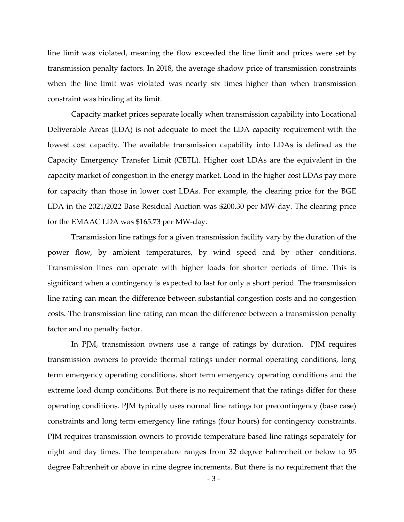line limit was violated, meaning the flow exceeded the line limit and prices were set by transmission penalty factors. In 2018, the average shadow price of transmission constraints when the line limit was violated was nearly six times higher than when transmission constraint was binding at its limit.

Capacity market prices separate locally when transmission capability into Locational Deliverable Areas (LDA) is not adequate to meet the LDA capacity requirement with the lowest cost capacity. The available transmission capability into LDAs is defined as the Capacity Emergency Transfer Limit (CETL). Higher cost LDAs are the equivalent in the capacity market of congestion in the energy market. Load in the higher cost LDAs pay more for capacity than those in lower cost LDAs. For example, the clearing price for the BGE LDA in the 2021/2022 Base Residual Auction was \$200.30 per MW‐day. The clearing price for the EMAAC LDA was \$165.73 per MW‐day.

Transmission line ratings for a given transmission facility vary by the duration of the power flow, by ambient temperatures, by wind speed and by other conditions. Transmission lines can operate with higher loads for shorter periods of time. This is significant when a contingency is expected to last for only a short period. The transmission line rating can mean the difference between substantial congestion costs and no congestion costs. The transmission line rating can mean the difference between a transmission penalty factor and no penalty factor.

In PJM, transmission owners use a range of ratings by duration. PJM requires transmission owners to provide thermal ratings under normal operating conditions, long term emergency operating conditions, short term emergency operating conditions and the extreme load dump conditions. But there is no requirement that the ratings differ for these operating conditions. PJM typically uses normal line ratings for precontingency (base case) constraints and long term emergency line ratings (four hours) for contingency constraints. PJM requires transmission owners to provide temperature based line ratings separately for night and day times. The temperature ranges from 32 degree Fahrenheit or below to 95 degree Fahrenheit or above in nine degree increments. But there is no requirement that the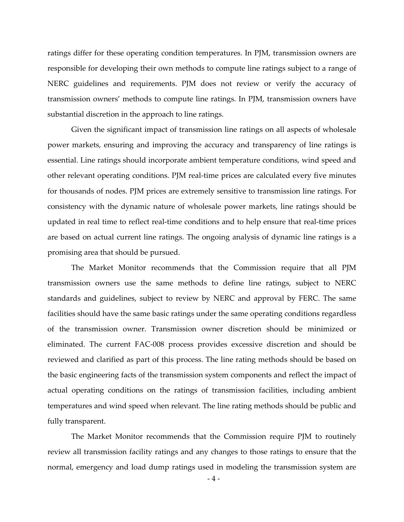ratings differ for these operating condition temperatures. In PJM, transmission owners are responsible for developing their own methods to compute line ratings subject to a range of NERC guidelines and requirements. PJM does not review or verify the accuracy of transmission owners' methods to compute line ratings. In PJM, transmission owners have substantial discretion in the approach to line ratings.

Given the significant impact of transmission line ratings on all aspects of wholesale power markets, ensuring and improving the accuracy and transparency of line ratings is essential. Line ratings should incorporate ambient temperature conditions, wind speed and other relevant operating conditions. PJM real‐time prices are calculated every five minutes for thousands of nodes. PJM prices are extremely sensitive to transmission line ratings. For consistency with the dynamic nature of wholesale power markets, line ratings should be updated in real time to reflect real‐time conditions and to help ensure that real‐time prices are based on actual current line ratings. The ongoing analysis of dynamic line ratings is a promising area that should be pursued.

The Market Monitor recommends that the Commission require that all PJM transmission owners use the same methods to define line ratings, subject to NERC standards and guidelines, subject to review by NERC and approval by FERC. The same facilities should have the same basic ratings under the same operating conditions regardless of the transmission owner. Transmission owner discretion should be minimized or eliminated. The current FAC‐008 process provides excessive discretion and should be reviewed and clarified as part of this process. The line rating methods should be based on the basic engineering facts of the transmission system components and reflect the impact of actual operating conditions on the ratings of transmission facilities, including ambient temperatures and wind speed when relevant. The line rating methods should be public and fully transparent.

The Market Monitor recommends that the Commission require PJM to routinely review all transmission facility ratings and any changes to those ratings to ensure that the normal, emergency and load dump ratings used in modeling the transmission system are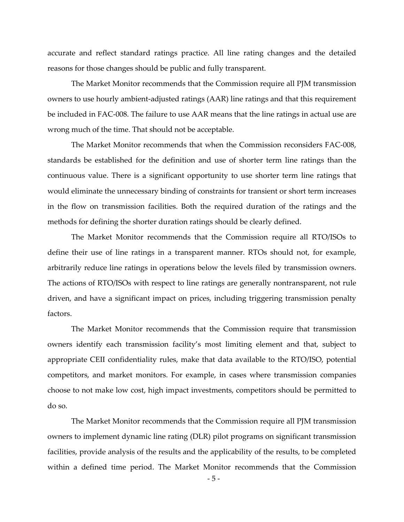accurate and reflect standard ratings practice. All line rating changes and the detailed reasons for those changes should be public and fully transparent.

The Market Monitor recommends that the Commission require all PJM transmission owners to use hourly ambient‐adjusted ratings (AAR) line ratings and that this requirement be included in FAC‐008. The failure to use AAR means that the line ratings in actual use are wrong much of the time. That should not be acceptable.

The Market Monitor recommends that when the Commission reconsiders FAC-008, standards be established for the definition and use of shorter term line ratings than the continuous value. There is a significant opportunity to use shorter term line ratings that would eliminate the unnecessary binding of constraints for transient or short term increases in the flow on transmission facilities. Both the required duration of the ratings and the methods for defining the shorter duration ratings should be clearly defined.

The Market Monitor recommends that the Commission require all RTO/ISOs to define their use of line ratings in a transparent manner. RTOs should not, for example, arbitrarily reduce line ratings in operations below the levels filed by transmission owners. The actions of RTO/ISOs with respect to line ratings are generally nontransparent, not rule driven, and have a significant impact on prices, including triggering transmission penalty factors.

The Market Monitor recommends that the Commission require that transmission owners identify each transmission facility's most limiting element and that, subject to appropriate CEII confidentiality rules, make that data available to the RTO/ISO, potential competitors, and market monitors. For example, in cases where transmission companies choose to not make low cost, high impact investments, competitors should be permitted to do so.

The Market Monitor recommends that the Commission require all PJM transmission owners to implement dynamic line rating (DLR) pilot programs on significant transmission facilities, provide analysis of the results and the applicability of the results, to be completed within a defined time period. The Market Monitor recommends that the Commission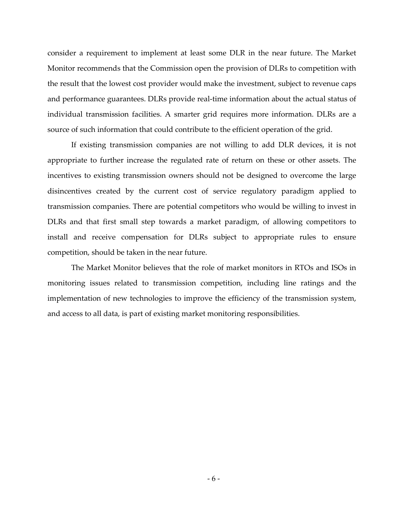consider a requirement to implement at least some DLR in the near future. The Market Monitor recommends that the Commission open the provision of DLRs to competition with the result that the lowest cost provider would make the investment, subject to revenue caps and performance guarantees. DLRs provide real‐time information about the actual status of individual transmission facilities. A smarter grid requires more information. DLRs are a source of such information that could contribute to the efficient operation of the grid.

If existing transmission companies are not willing to add DLR devices, it is not appropriate to further increase the regulated rate of return on these or other assets. The incentives to existing transmission owners should not be designed to overcome the large disincentives created by the current cost of service regulatory paradigm applied to transmission companies. There are potential competitors who would be willing to invest in DLRs and that first small step towards a market paradigm, of allowing competitors to install and receive compensation for DLRs subject to appropriate rules to ensure competition, should be taken in the near future.

The Market Monitor believes that the role of market monitors in RTOs and ISOs in monitoring issues related to transmission competition, including line ratings and the implementation of new technologies to improve the efficiency of the transmission system, and access to all data, is part of existing market monitoring responsibilities.